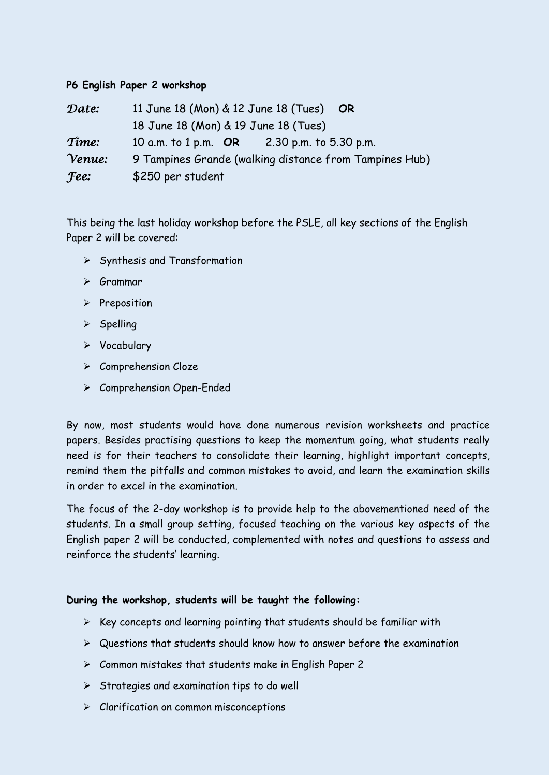## **P6 English Paper 2 workshop**

| Date:       | 11 June 18 (Mon) & 12 June 18 (Tues) OR                |
|-------------|--------------------------------------------------------|
|             | 18 June 18 (Mon) & 19 June 18 (Tues)                   |
| Time:       | 10 a.m. to 1 p.m. OR 2.30 p.m. to 5.30 p.m.            |
| Venue:      | 9 Tampines Grande (walking distance from Tampines Hub) |
| <b>Fee:</b> | \$250 per student                                      |

This being the last holiday workshop before the PSLE, all key sections of the English Paper 2 will be covered:

- $\triangleright$  Synthesis and Transformation
- $\triangleright$  Grammar
- $\triangleright$  Preposition
- $\triangleright$  Spelling
- $\triangleright$  Vocabulary
- $\triangleright$  Comprehension Cloze
- Comprehension Open-Ended

By now, most students would have done numerous revision worksheets and practice papers. Besides practising questions to keep the momentum going, what students really need is for their teachers to consolidate their learning, highlight important concepts, remind them the pitfalls and common mistakes to avoid, and learn the examination skills in order to excel in the examination.

The focus of the 2-day workshop is to provide help to the abovementioned need of the students. In a small group setting, focused teaching on the various key aspects of the English paper 2 will be conducted, complemented with notes and questions to assess and reinforce the students' learning.

## **During the workshop, students will be taught the following:**

- $\triangleright$  Key concepts and learning pointing that students should be familiar with
- $\triangleright$  Questions that students should know how to answer before the examination
- $\triangleright$  Common mistakes that students make in English Paper 2
- $\triangleright$  Strategies and examination tips to do well
- $\triangleright$  Clarification on common misconceptions